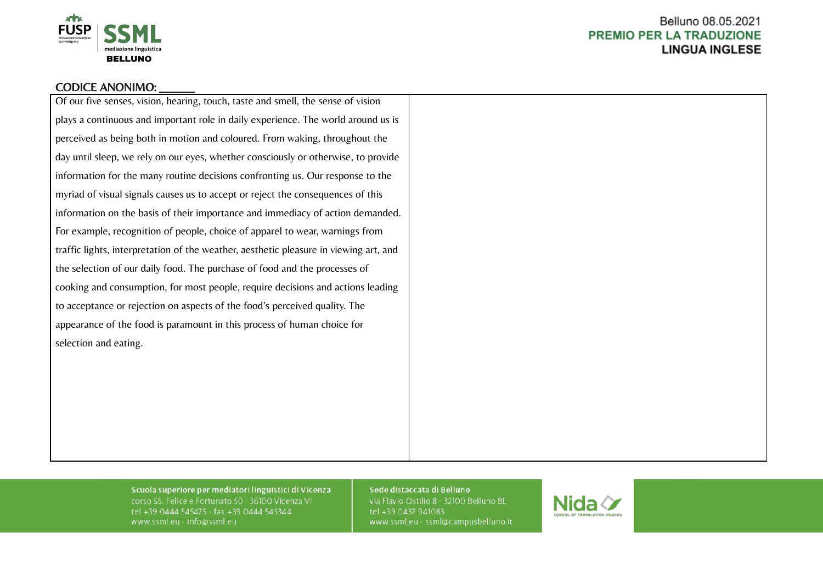

## CODICE ANONIMO:

Of our five senses, vision, hearing, touch, taste and smell, the sense of vision plays a continuous and important role in daily experience. The world around us is perceived as being both in motion and coloured. From waking, throughout the day until sleep, we rely on our eyes, whether consciously or otherwise, to provide information for the many routine decisions confronting us. Our response to the myriad of visual signals causes us to accept or reject the consequences of this information on the basis of their importance and immediacy of action demanded. For example, recognition of people, choice of apparel to wear, warnings from traffic lights, interpretation of the weather, aesthetic pleasure in viewing art, and the selection of our daily food. The purchase of food and the processes of cooking and consumption, for most people, require decisions and actions leading to acceptance or rejection on aspects of the food's perceived quality. The appearance of the food is paramount in this process of human choice for selection and eating.

> Scuola superiore per mediatori linguistici di Vicenza corso SS. Felice e Fortunato 50 - 36100 Vicenza VI tel +39 0444 545475 - fax +39 0444 545344 www.ssml.eu - info@ssml.eu

### Sede distaccata di Belluno

via Flavio Ostilio 8 - 32100 Belluno BL tel +39 0437 941083 www.ssml.eu - ssml@campusbelluno.it

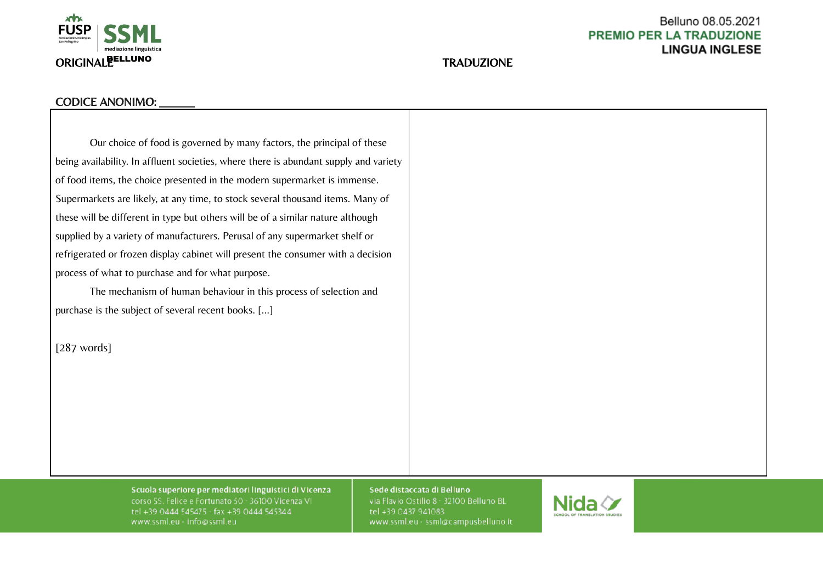

# Belluno 08.05.2021 **PREMIO PER LA TRADUZIONE LINGUA INGLESE**

# CODICE ANONIMO:

Our choice of food is governed by many factors, the principal of these being availability. In affluent societies, where there is abundant supply and variety of food items, the choice presented in the modern supermarket is immense. Supermarkets are likely, at any time, to stock several thousand items. Many of these will be different in type but others will be of a similar nature although supplied by a variety of manufacturers. Perusal of any supermarket shelf or refrigerated or frozen display cabinet will present the consumer with a decision process of what to purchase and for what purpose.

The mechanism of human behaviour in this process of selection and purchase is the subject of several recent books. [...]

[287 words]

Scuola superiore per mediatori linguistici di Vicenza corso SS. Felice e Fortunato 50 - 36100 Vicenza VI tel +39 0444 545475 - fax +39 0444 545344 www.ssml.eu - info@ssml.eu

Sede distaccata di Belluno

via Flavio Ostilio 8 - 32100 Belluno BL tel +39 0437 941083 www.ssml.eu - ssml@campusbelluno.it